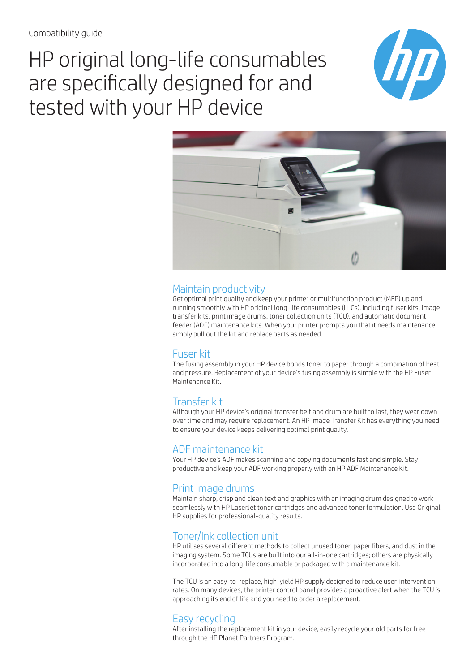# HP original long-life consumables are specifically designed for and tested with your HP device





### Maintain productivity

Get optimal print quality and keep your printer or multifunction product (MFP) up and running smoothly with HP original long-life consumables (LLCs), including fuser kits, image transfer kits, print image drums, toner collection units (TCU), and automatic document feeder (ADF) maintenance kits. When your printer prompts you that it needs maintenance, simply pull out the kit and replace parts as needed.

# Fuser kit

The fusing assembly in your HP device bonds toner to paper through a combination of heat and pressure. Replacement of your device's fusing assembly is simple with the HP Fuser Maintenance Kit.

# Transfer kit

Although your HP device's original transfer belt and drum are built to last, they wear down over time and may require replacement. An HP Image Transfer Kit has everything you need to ensure your device keeps delivering optimal print quality.

# ADF maintenance kit

Your HP device's ADF makes scanning and copying documents fast and simple. Stay productive and keep your ADF working properly with an HP ADF Maintenance Kit.

# Print image drums

Maintain sharp, crisp and clean text and graphics with an imaging drum designed to work seamlessly with HP LaserJet toner cartridges and advanced toner formulation. Use Original HP supplies for professional-quality results.

# Toner/Ink collection unit

HP utilises several different methods to collect unused toner, paper fibers, and dust in the imaging system. Some TCUs are built into our all-in-one cartridges; others are physically incorporated into a long-life consumable or packaged with a maintenance kit.

The TCU is an easy-to-replace, high-yield HP supply designed to reduce user-intervention rates. On many devices, the printer control panel provides a proactive alert when the TCU is approaching its end of life and you need to order a replacement.

# Easy recycling

After installing the replacement kit in your device, easily recycle your old parts for free through the HP Planet Partners Program.<sup>1</sup>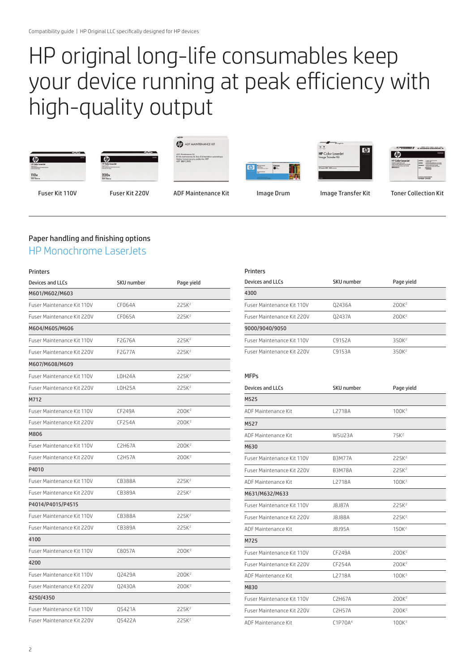# HP original long-life consumables keep your device running at peak efficiency with high-quality output













Fuser Kit 110V Fuser Kit 220V ADF Maintenance Kit Image Drum Image Transfer Kit Toner Collection Kit

# Paper handling and finishing options HP Monochrome LaserJets

| Printers                   |                   |                   |
|----------------------------|-------------------|-------------------|
| <b>Devices and LLCs</b>    | <b>SKU</b> number | Page yield        |
| M601/M602/M603             |                   |                   |
| Fuser Maintenance Kit 110V | CF064A            | 225K <sup>2</sup> |
| Fuser Maintenance Kit 220V | <b>CE065A</b>     | 225K <sup>2</sup> |
| M604/M605/M606             |                   |                   |
| Fuser Maintenance Kit 110V | F2G76A            | 225K <sup>2</sup> |
| Fuser Maintenance Kit 220V | F2G77A            | 225K <sup>2</sup> |
| M607/M608/M609             |                   |                   |
| Fuser Maintenance Kit 110V | LOH24A            | 225K <sup>2</sup> |
| Fuser Maintenance Kit 220V | <b>LOH25A</b>     | 225K <sup>2</sup> |
| M712                       |                   |                   |
| Fuser Maintenance Kit 110V | CF249A            | $200K^2$          |
| Fuser Maintenance Kit 220V | CF254A            | 200K <sup>2</sup> |
| M806                       |                   |                   |
| Fuser Maintenance Kit 110V | C2H67A            | 200K <sup>2</sup> |
| Fuser Maintenance Kit 220V | <b>C2H57A</b>     | 200K <sup>2</sup> |
| P4010                      |                   |                   |
| Fuser Maintenance Kit 110V | <b>CB388A</b>     | 225K <sup>2</sup> |
| Fuser Maintenance Kit 220V | CB389A            | 225K <sup>2</sup> |
| P4014/P4015/P4515          |                   |                   |
| Fuser Maintenance Kit 110V | <b>CB388A</b>     | 225K <sup>2</sup> |
| Fuser Maintenance Kit 220V | CB389A            | 225K <sup>2</sup> |
| 4100                       |                   |                   |
| Fuser Maintenance Kit 110V | C8057A            | 200K <sup>2</sup> |
| 4200                       |                   |                   |
| Fuser Maintenance Kit 110V | Q2429A            | 200K <sup>2</sup> |
| Fuser Maintenance Kit 220V | Q2430A            | 200K <sup>2</sup> |
| 4250/4350                  |                   |                   |
| Fuser Maintenance Kit 110V | Q5421A            | 225K <sup>2</sup> |
| Fuser Maintenance Kit 220V | Q5422A            | 225K <sup>2</sup> |

| <b>Printers</b>            |            |                   |  |
|----------------------------|------------|-------------------|--|
| Devices and LLCs           | SKU number | Page yield        |  |
| 4300                       |            |                   |  |
| Fuser Maintenance Kit 110V | 02436A     | 200K <sup>2</sup> |  |
| Fuser Maintenance Kit 220V | 02437A     | 200K <sup>2</sup> |  |
| 9000/9040/9050             |            |                   |  |
| Fuser Maintenance Kit 110V | C9152A     | 350K <sup>2</sup> |  |
| Fuser Maintenance Kit 220V | C9153A     | 350K <sup>2</sup> |  |

### MFPs

| <b>Devices and LLCs</b>    | SKU number          | Page yield        |
|----------------------------|---------------------|-------------------|
| M525                       |                     |                   |
| ADF Maintenance Kit        | L2718A              | 100K <sup>3</sup> |
| M527                       |                     |                   |
| ADF Maintenance Kit        | W5U23A              | 75K <sup>2</sup>  |
| M630                       |                     |                   |
| Fuser Maintenance Kit 110V | <b>B3M77A</b>       | 225K <sup>2</sup> |
| Fuser Maintenance Kit 220V | <b>B3M78A</b>       | 225K <sup>2</sup> |
| ADF Maintenance Kit        | L2718A              | 100K <sup>3</sup> |
| M631/M632/M633             |                     |                   |
| Fuser Maintenance Kit 110V | J8J87A              | 225K <sup>2</sup> |
| Fuser Maintenance Kit 220V | J8J88A              | $225K^2$          |
| ADE Maintenance Kit        | J8J95A              | 150K <sup>2</sup> |
| M725                       |                     |                   |
| Fuser Maintenance Kit 110V | <b>CF249A</b>       | 200K <sup>2</sup> |
| Fuser Maintenance Kit 220V | CF254A              | $200K^2$          |
| ADF Maintenance Kit        | I 2718A             | 100K <sup>3</sup> |
| M830                       |                     |                   |
| Fuser Maintenance Kit 110V | <b>C2H67A</b>       | 200K <sup>2</sup> |
| Fuser Maintenance Kit 220V | <b>C2H57A</b>       | $200K^2$          |
| ADF Maintenance Kit        | C1P70A <sup>4</sup> | 100K <sup>3</sup> |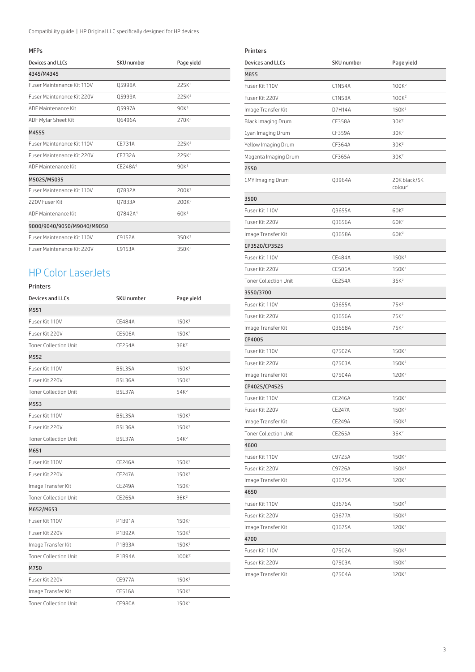### MFPs

| Devices and LLCs           | SKU number          | Page yield        |
|----------------------------|---------------------|-------------------|
| 4345/M4345                 |                     |                   |
| Fuser Maintenance Kit 110V | 05998A              | 225K <sup>2</sup> |
| Fuser Maintenance Kit 220V | 05999A              | 225K <sup>2</sup> |
| ADE Maintenance Kit        | 05997A              | 90K <sub>3</sub>  |
| ADF Mylar Sheet Kit        | 06496A              | 270K <sup>2</sup> |
| M4555                      |                     |                   |
| Fuser Maintenance Kit 110V | <b>CE731A</b>       | 225K <sup>2</sup> |
| Fuser Maintenance Kit 220V | <b>CE732A</b>       | $225K^2$          |
| ADF Maintenance Kit        | CF248A4             | 90K <sup>3</sup>  |
| M5025/M5035                |                     |                   |
| Fuser Maintenance Kit 110V | Q7832A              | 200K <sup>2</sup> |
| 220V Fuser Kit             | Q7833A              | $200K^2$          |
| ADE Maintenance Kit        | 07842A <sup>4</sup> | 60K <sup>3</sup>  |
| 9000/9040/9050/M9040/M9050 |                     |                   |
| Fuser Maintenance Kit 110V | C9152A              | 350K <sup>2</sup> |
| Fuser Maintenance Kit 220V | C9153A              | 350K <sup>2</sup> |

# HP Color LaserJets

### Printers

| <b>Devices and LLCs</b>      | <b>SKU</b> number | Page yield        |
|------------------------------|-------------------|-------------------|
| M551                         |                   |                   |
| Fuser Kit 110V               | <b>CE484A</b>     | 150K <sup>2</sup> |
| Fuser Kit 220V               | CE506A            | 150K <sup>2</sup> |
| <b>Toner Collection Unit</b> | <b>CE254A</b>     | 36K <sup>2</sup>  |
| M552                         |                   |                   |
| Fuser Kit 110V               | <b>B5L35A</b>     | 150K <sup>2</sup> |
| Fuser Kit 220V               | <b>B5L36A</b>     | 150K <sup>2</sup> |
| <b>Toner Collection Unit</b> | <b>B5L37A</b>     | $54K^2$           |
| M553                         |                   |                   |
| Fuser Kit 110V               | <b>B5L35A</b>     | 150K <sup>2</sup> |
| Fuser Kit 220V               | <b>B5L36A</b>     | 150K <sup>2</sup> |
| <b>Toner Collection Unit</b> | <b>B5L37A</b>     | 54K <sup>2</sup>  |
| M651                         |                   |                   |
| Fuser Kit 110V               | CE246A            | 150K <sup>2</sup> |
| Fuser Kit 220V               | <b>CE247A</b>     | 150K <sup>2</sup> |
| Image Transfer Kit           | <b>CE249A</b>     | 150K <sup>2</sup> |
| <b>Toner Collection Unit</b> | <b>CE265A</b>     | 36K <sup>2</sup>  |
| M652/M653                    |                   |                   |
| Fuser Kit 110V               | P1B91A            | 150K <sup>2</sup> |
| Fuser Kit 220V               | P1B92A            | 150K <sup>2</sup> |
| Image Transfer Kit           | P1B93A            | 150K <sup>2</sup> |
| <b>Toner Collection Unit</b> | P1B94A            | 100K <sup>2</sup> |
| M750                         |                   |                   |
| Fuser Kit 220V               | <b>CE977A</b>     | 150K <sup>2</sup> |
| Image Transfer Kit           | <b>CE516A</b>     | 150K <sup>2</sup> |
| <b>Toner Collection Unit</b> | <b>CE980A</b>     | 150K <sup>2</sup> |

| <b>Devices and LLCs</b>      | <b>SKU</b> number | Page yield                          |
|------------------------------|-------------------|-------------------------------------|
| M855                         |                   |                                     |
| Fuser Kit 110V               | C1N54A            | 100K <sup>2</sup>                   |
| Fuser Kit 220V               | <b>C1N58A</b>     | 100K <sup>2</sup>                   |
| Image Transfer Kit           | D7H14A            | 150K <sup>2</sup>                   |
| Black Imaging Drum           | CF358A            | 30K <sup>2</sup>                    |
| Cyan Imaging Drum            | CF359A            | 30K <sup>2</sup>                    |
| Yellow Imaging Drum          | CF364A            | 30K <sup>2</sup>                    |
| Magenta Imaging Drum         | CF365A            | 30K <sup>2</sup>                    |
| 2550                         |                   |                                     |
| CMY Imaging Drum             | Q3964A            | 20K black/5K<br>colour <sup>2</sup> |
| 3500                         |                   |                                     |
| Fuser Kit 110V               | Q3655A            | 60K <sup>2</sup>                    |
| Fuser Kit 220V               | Q3656A            | 60K <sup>2</sup>                    |
| Image Transfer Kit           | Q3658A            | 60K <sup>2</sup>                    |
| CP3520/CP3525                |                   |                                     |
| Fuser Kit 110V               | CE484A            | 150K <sup>2</sup>                   |
| Fuser Kit 220V               | <b>CE506A</b>     | 150K <sup>2</sup>                   |
| <b>Toner Collection Unit</b> | CE254A            | 36K <sup>2</sup>                    |
| 3550/3700                    |                   |                                     |
| Fuser Kit 110V               | Q3655A            | 75K <sup>2</sup>                    |
| Fuser Kit 220V               | Q3656A            | $75K^2$                             |
| Image Transfer Kit           | Q3658A            | 75K <sup>2</sup>                    |
| CP4005                       |                   |                                     |
| Fuser Kit 110V               | Q7502A            | 150K <sup>2</sup>                   |
| Fuser Kit 220V               | Q7503A            | 150K <sup>2</sup>                   |
| Image Transfer Kit           | Q7504A            | $120K^2$                            |
| CP4025/CP4525                |                   |                                     |
| Fuser Kit 110V               | CE246A            | 150K <sup>2</sup>                   |
| Fuser Kit 220V               | <b>CE247A</b>     | 150K <sup>2</sup>                   |
| Image Transfer Kit           | CE249A            | 150K <sup>2</sup>                   |
| <b>Toner Collection Unit</b> | CE265A            | 36K <sup>2</sup>                    |
| 4600                         |                   |                                     |
| Fuser Kit 110V               | C9725A            | 150K <sup>2</sup>                   |
| Fuser Kit 220V               | C9726A            | 150K <sup>2</sup>                   |
| Image Transfer Kit           | Q3675A            | 120K <sup>2</sup>                   |
| 4650                         |                   |                                     |
| Fuser Kit 110V               | Q3676A            | 150K <sup>2</sup>                   |
| Fuser Kit 220V               | Q3677A            | 150K <sup>2</sup>                   |
| Image Transfer Kit           | Q3675A            | 120K <sup>2</sup>                   |
| 4700                         |                   |                                     |
| Fuser Kit 110V               | Q7502A            | 150K <sup>2</sup>                   |
| Fuser Kit 220V               | Q7503A            | 150K <sup>2</sup>                   |
| Image Transfer Kit           | Q7504A            | 120K <sup>2</sup>                   |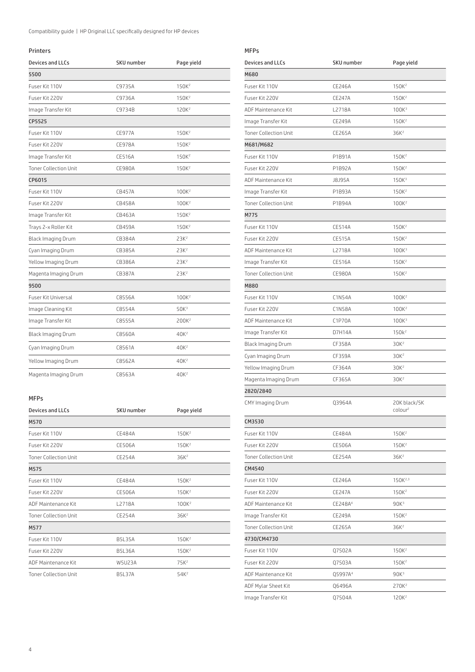Compatibility guide | HP Original LLC specifically designed for HP devices

MFPs

### Printers

| <b>Devices and LLCs</b>      | SKU number    | Page yield        |
|------------------------------|---------------|-------------------|
| 5500                         |               |                   |
| Fuser Kit 110V               | C9735A        | 150K <sup>2</sup> |
| Fuser Kit 220V               | C9736A        | 150K <sup>2</sup> |
| Image Transfer Kit           | C9734B        | 120K <sup>2</sup> |
| CP5525                       |               |                   |
| Fuser Kit 110V               | <b>CE977A</b> | 150K <sup>2</sup> |
| Fuser Kit 220V               | <b>CF978A</b> | 150K <sup>2</sup> |
| Image Transfer Kit           | <b>CE516A</b> | 150K <sup>2</sup> |
| <b>Toner Collection Unit</b> | <b>CE980A</b> | 150K <sup>2</sup> |
| CP6015                       |               |                   |
| Fuser Kit 110V               | <b>CB457A</b> | 100K <sup>2</sup> |
| Fuser Kit 220V               | CB458A        | 100K <sup>2</sup> |
| Image Transfer Kit           | CB463A        | 150K <sup>2</sup> |
| Trays 2-x Roller Kit         | <b>CB459A</b> | 150K <sup>2</sup> |
| Black Imaging Drum           | CB384A        | $23K^2$           |
| Cyan Imaging Drum            | CB385A        | 23K <sup>2</sup>  |
| Yellow Imaging Drum          | CB386A        | 23K <sup>2</sup>  |
| Magenta Imaging Drum         | CB387A        | 23K <sup>2</sup>  |
| 9500                         |               |                   |
| Fuser Kit Universal          | C8556A        | 100K <sup>2</sup> |
| Image Cleaning Kit           | C8554A        | 50K <sup>3</sup>  |
| Image Transfer Kit           | C8555A        | 200K <sup>2</sup> |
| Black Imaging Drum           | C8560A        | 40K <sup>2</sup>  |
| Cyan Imaging Drum            | C8561A        | 40K <sup>2</sup>  |
| Yellow Imaging Drum          | C8562A        | 40K <sup>2</sup>  |
| Magenta Imaging Drum         | C8563A        | 40K <sup>2</sup>  |

### MFPs

| Devices and LLCs             | SKU number    | Page yield        |  |
|------------------------------|---------------|-------------------|--|
| M570                         |               |                   |  |
| Fuser Kit 110V               | <b>CE484A</b> | 150K <sup>2</sup> |  |
| Fuser Kit 220V               | <b>CE506A</b> | 150K <sup>2</sup> |  |
| <b>Toner Collection Unit</b> | <b>CE254A</b> | 36K <sup>2</sup>  |  |
| <b>M575</b>                  |               |                   |  |
| Fuser Kit 110V               | <b>CE484A</b> | 150K <sup>2</sup> |  |
| Fuser Kit 220V               | <b>CE506A</b> | 150K <sup>2</sup> |  |
| ADF Maintenance Kit          | I 2718A       | $100K^2$          |  |
| <b>Toner Collection Unit</b> | <b>CF254A</b> | 36K <sup>2</sup>  |  |
| M577                         |               |                   |  |
| Fuser Kit 110V               | <b>B5L35A</b> | 150K <sup>2</sup> |  |
| Fuser Kit 220V               | <b>B5L36A</b> | 150K <sup>2</sup> |  |
| ADE Maintenance Kit          | W5U23A        | $75K^2$           |  |
| <b>Toner Collection Unit</b> | <b>B5L37A</b> | 54K <sup>2</sup>  |  |

| Devices and LLCs             | <b>SKU</b> number   | Page yield                          |  |
|------------------------------|---------------------|-------------------------------------|--|
| M680                         |                     |                                     |  |
| Fuser Kit 110V               | CE246A              | 150K <sup>2</sup>                   |  |
| Fuser Kit 220V               | <b>CE247A</b>       | 150K <sup>2</sup>                   |  |
| ADF Maintenance Kit          | L2718A              | 100K <sup>3</sup>                   |  |
| Image Transfer Kit           | CE249A              | 150K <sup>2</sup>                   |  |
| Toner Collection Unit        | CE265A              | 36K <sup>2</sup>                    |  |
| M681/M682                    |                     |                                     |  |
| Fuser Kit 110V               | P1B91A              | 150K <sup>2</sup>                   |  |
| Fuser Kit 220V               | P1B92A              | 150K <sup>2</sup>                   |  |
| ADF Maintenance Kit          | J8J95A              | 150K <sup>3</sup>                   |  |
| Image Transfer Kit           | P1B93A              | 150K <sup>2</sup>                   |  |
| <b>Toner Collection Unit</b> | P1B94A              | 100K <sup>2</sup>                   |  |
| M775                         |                     |                                     |  |
| Fuser Kit 110V               | CE514A              | 150K <sup>2</sup>                   |  |
| Fuser Kit 220V               | CE515A              | 150K <sup>2</sup>                   |  |
| ADF Maintenance Kit          | L2718A              | 100K <sup>3</sup>                   |  |
| Image Transfer Kit           | <b>CE516A</b>       | 150K <sup>2</sup>                   |  |
| <b>Toner Collection Unit</b> | <b>CE980A</b>       | 150K <sup>2</sup>                   |  |
| M880                         |                     |                                     |  |
| Fuser Kit 110V               | C1N54A              | $100K^2$                            |  |
| Fuser Kit 220V               | C1N58A              | 100K <sup>2</sup>                   |  |
| ADF Maintenance Kit          | C1P70A              | 100K <sup>3</sup>                   |  |
| Image Transfer Kit           | D7H14A              | 150k <sup>2</sup>                   |  |
| Black Imaging Drum           | CF358A              | 30K <sup>2</sup>                    |  |
| Cyan Imaging Drum            | CF359A              | 30K <sup>2</sup>                    |  |
| Yellow Imaging Drum          | CF364A              | 30K <sup>2</sup>                    |  |
| Magenta Imaging Drum         | CF365A              | 30K <sup>2</sup>                    |  |
| 2820/2840                    |                     |                                     |  |
| CMY Imaging Drum             | Q3964A              | 20K black/5K<br>colour <sup>2</sup> |  |
| CM3530                       |                     |                                     |  |
| Fuser Kit 110V               | CE484A              | $150K^2$                            |  |
| Fuser Kit 220V               | <b>CE506A</b>       | 150K <sup>2</sup>                   |  |
| <b>Toner Collection Unit</b> | CE254A              | 36K <sup>2</sup>                    |  |
| CM4540                       |                     |                                     |  |
| Fuser Kit 110V               | CE246A              | $150K^{2,3}$                        |  |
| Fuser Kit 220V               | CE247A              | 150K <sup>2</sup>                   |  |
| ADF Maintenance Kit          | CE248A <sup>4</sup> | 90K <sup>3</sup>                    |  |
| Image Transfer Kit           | CE249A              | 150K <sup>2</sup>                   |  |
| <b>Toner Collection Unit</b> | CE265A              | 36K <sup>2</sup>                    |  |
| 4730/CM4730                  |                     |                                     |  |
| Fuser Kit 110V               | Q7502A              | 150K <sup>2</sup>                   |  |
| Fuser Kit 220V               | Q7503A              | 150K <sup>2</sup>                   |  |
| ADF Maintenance Kit          | Q5997A <sup>4</sup> | 90K <sub>3</sub>                    |  |
| ADF Mylar Sheet Kit          | Q6496A              | 270K <sup>2</sup>                   |  |
| Image Transfer Kit           | Q7504A              | 120K <sup>2</sup>                   |  |